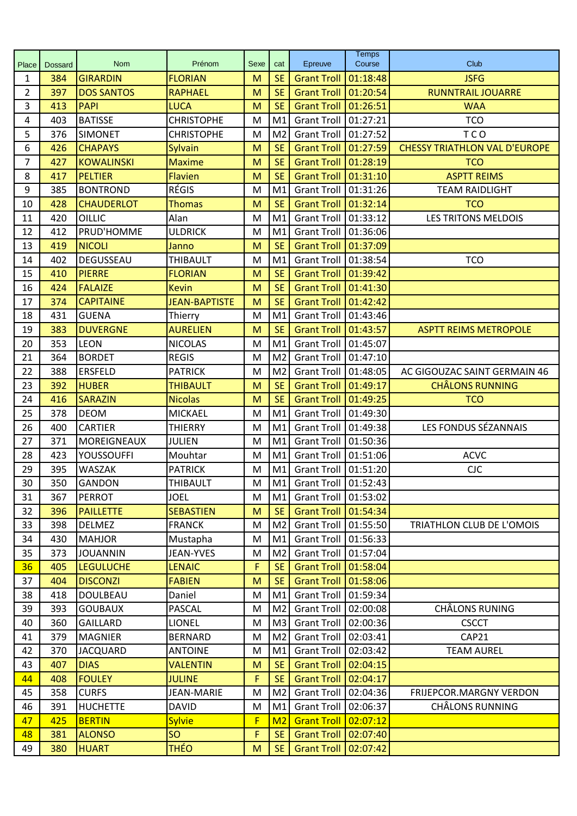| Prénom<br>Sexe<br>Epreuve<br>cat<br>Place<br><b>Dossard</b><br><b>SE</b><br>384<br><b>GIRARDIN</b><br><b>FLORIAN</b><br>M<br>01:18:48<br><b>JSFG</b><br>$\mathbf{1}$<br><b>Grant Troll</b><br>397<br><b>SE</b><br>$\overline{2}$<br><b>DOS SANTOS</b><br><b>RAPHAEL</b><br>M<br><b>Grant Troll</b><br>01:20:54<br><b>RUNNTRAIL JOUARRE</b><br>3<br>M<br><b>SE</b><br><b>Grant Troll</b><br>01:26:51<br><b>WAA</b><br>413<br><b>PAPI</b><br><b>LUCA</b><br>403<br><b>BATISSE</b><br><b>CHRISTOPHE</b><br>01:27:21<br><b>TCO</b><br>4<br>M<br>M1<br><b>Grant Troll</b><br>5<br>01:27:52<br>376<br>M <sub>2</sub><br><b>Grant Troll</b><br><b>TCO</b><br><b>SIMONET</b><br><b>CHRISTOPHE</b><br>M<br>6<br>426<br><b>CHAPAYS</b><br><b>SE</b><br><b>Grant Troll</b><br>01:27:59<br><b>CHESSY TRIATHLON VAL D'EUROPE</b><br>M<br>Sylvain<br>$\overline{7}$<br>427<br><b>KOWALINSKI</b><br>M<br><b>SE</b><br><b>Grant Troll</b><br>01:28:19<br><b>TCO</b><br><b>Maxime</b><br>8<br>417<br><b>PELTIER</b><br>M<br><b>SE</b><br><b>Grant Troll</b><br>01:31:10<br><b>ASPTT REIMS</b><br><b>Flavien</b><br><b>RÉGIS</b><br>9<br>385<br><b>BONTROND</b><br>01:31:26<br>M<br>M1<br><b>Grant Troll</b><br><b>TEAM RAIDLIGHT</b><br>01:32:14<br>428<br><b>SE</b><br><b>Grant Troll</b><br><b>TCO</b><br>10<br><b>CHAUDERLOT</b><br><b>Thomas</b><br>M<br><b>LES TRITONS MELDOIS</b><br>420<br>OILLIC<br>M1<br><b>Grant Troll</b><br>01:33:12<br>11<br>Alan<br>M<br>PRUD'HOMME<br><b>ULDRICK</b><br>12<br>412<br><b>Grant Troll</b><br>01:36:06<br>M<br>M <sub>1</sub><br>01:37:09<br>13<br>419<br><b>NICOLI</b><br>M<br><b>SE</b><br><b>Grant Troll</b><br>Janno<br>402<br>DEGUSSEAU<br>01:38:54<br><b>TCO</b><br>14<br><b>THIBAULT</b><br>M<br>M1<br><b>Grant Troll</b><br><b>SE</b><br>01:39:42<br>15<br>410<br><b>PIERRE</b><br>M<br><b>Grant Troll</b><br><b>FLORIAN</b><br><b>SE</b><br>16<br>424<br><b>FALAIZE</b><br><b>Grant Troll</b><br>01:41:30<br><b>Kevin</b><br>M<br><b>JEAN-BAPTISTE</b><br><b>CAPITAINE</b><br><b>SE</b><br>01:42:42<br>17<br>374<br>M<br><b>Grant Troll</b><br>18<br>431<br>M<br><b>GUENA</b><br>M1<br><b>Grant Troll</b><br>01:43:46<br>Thierry<br><b>DUVERGNE</b><br>19<br>383<br><b>AURELIEN</b><br>M<br><b>SE</b><br><b>Grant Troll</b><br>01:43:57<br><b>ASPTT REIMS METROPOLE</b><br>353<br><b>LEON</b><br>M<br>M1<br><b>Grant Troll</b><br>01:45:07<br>20<br><b>NICOLAS</b><br>364<br><b>BORDET</b><br>M <sub>2</sub><br><b>Grant Troll</b><br>01:47:10<br>21<br><b>REGIS</b><br>M<br>388<br>01:48:05<br>22<br><b>ERSFELD</b><br><b>PATRICK</b><br>M<br>M <sub>2</sub><br><b>Grant Troll</b><br>AC GIGOUZAC SAINT GERMAIN 46<br>23<br>392<br>M<br><b>SE</b><br><b>Grant Troll</b><br>01:49:17<br><b>CHÂLONS RUNNING</b><br><b>HUBER</b><br><b>THIBAULT</b><br><b>SE</b><br><b>Grant Troll</b><br>01:49:25<br>24<br>416<br><b>SARAZIN</b><br><b>Nicolas</b><br>M<br><b>TCO</b><br>25<br>378<br><b>DEOM</b><br>M<br>M1<br><b>Grant Troll</b><br>01:49:30<br><b>MICKAEL</b><br>LES FONDUS SÉZANNAIS<br>26<br>400<br><b>CARTIER</b><br>M1<br><b>Grant Troll</b><br>01:49:38<br><b>THIERRY</b><br>M<br>27<br>371<br>01:50:36<br>MOREIGNEAUX<br>M <sub>1</sub><br><b>Grant Troll</b><br><b>JULIEN</b><br>M<br>28<br>423<br><b>YOUSSOUFFI</b><br><b>Grant Troll</b><br>01:51:06<br><b>ACVC</b><br>Mouhtar<br>M<br>M <sub>1</sub><br>29<br>395<br><b>WASZAK</b><br>Grant Troll 01:51:20<br><b>CJC</b><br><b>PATRICK</b><br>M<br>M1<br>M1 Grant Troll 01:52:43<br>30 <sup>°</sup><br>350<br>GANDON<br><b>THIBAULT</b><br>M<br>367<br><b>PERROT</b><br><b>Grant Troll</b><br>01:53:02<br>31<br><b>JOEL</b><br>M<br>M1<br>32<br>396<br><b>PAILLETTE</b><br><b>SEBASTIEN</b><br><b>SE</b><br><b>Grant Troll</b><br>01:54:34<br>M<br>398<br><b>Grant Troll</b><br>01:55:50<br>33<br><b>DELMEZ</b><br>M<br>M2<br>TRIATHLON CLUB DE L'OMOIS<br><b>FRANCK</b><br>430<br><b>Grant Troll</b><br>01:56:33<br>34<br><b>MAHJOR</b><br>Mustapha<br>M1<br>M<br>373<br><b>Grant Troll</b><br>01:57:04<br>35<br><b>JOUANNIN</b><br><b>JEAN-YVES</b><br>M2<br>M<br>36<br>405<br><b>LEGULUCHE</b><br><b>LENAIC</b><br>F<br><b>SE</b><br><b>Grant Troll</b><br>01:58:04<br>01:58:06<br>404<br><b>DISCONZI</b><br>M<br><b>SE</b><br><b>Grant Troll</b><br>37<br><b>FABIEN</b><br>38<br>418<br><b>Grant Troll</b><br>01:59:34<br>DOULBEAU<br>M<br>M1<br>Daniel<br>393<br><b>GOUBAUX</b><br>PASCAL<br><b>Grant Troll</b><br>02:00:08<br><b>CHÂLONS RUNING</b><br>39<br>M<br>M2<br>02:00:36<br>360<br><b>GAILLARD</b><br><b>Grant Troll</b><br><b>CSCCT</b><br>40<br><b>LIONEL</b><br>M<br>M3<br>379<br><b>MAGNIER</b><br><b>BERNARD</b><br>M2<br><b>Grant Troll</b><br>02:03:41<br>CAP21<br>41<br>M<br>370<br><b>Grant Troll</b><br>02:03:42<br>42<br><b>JACQUARD</b><br><b>ANTOINE</b><br>M1<br><b>TEAM AUREL</b><br>M<br>02:04:15<br>407<br><b>SE</b><br><b>Grant Troll</b><br>43<br><b>DIAS</b><br><b>VALENTIN</b><br>M<br><b>FOULEY</b><br>F<br>44<br>408<br><b>SE</b><br>02:04:17<br><b>JULINE</b><br><b>Grant Troll</b><br>358<br><b>CURFS</b><br><b>JEAN-MARIE</b><br><b>Grant Troll</b><br>02:04:36<br>FRIJEPCOR.MARGNY VERDON<br>45<br>M<br>M <sub>2</sub><br><b>HUCHETTE</b><br><b>Grant Troll</b><br>02:06:37<br><b>CHÂLONS RUNNING</b><br>46<br>391<br><b>DAVID</b><br>M1<br>M<br>425<br><b>BERTIN</b><br>F<br>02:07:12<br>47<br><b>Sylvie</b><br><b>Grant Troll</b><br>M <sub>2</sub><br>SO<br>F<br>02:07:40<br>48<br>381<br><b>ALONSO</b><br><b>SE</b><br><b>Grant Troll</b><br>SE |    |     |              |             |   |                    | <b>Temps</b> |      |
|----------------------------------------------------------------------------------------------------------------------------------------------------------------------------------------------------------------------------------------------------------------------------------------------------------------------------------------------------------------------------------------------------------------------------------------------------------------------------------------------------------------------------------------------------------------------------------------------------------------------------------------------------------------------------------------------------------------------------------------------------------------------------------------------------------------------------------------------------------------------------------------------------------------------------------------------------------------------------------------------------------------------------------------------------------------------------------------------------------------------------------------------------------------------------------------------------------------------------------------------------------------------------------------------------------------------------------------------------------------------------------------------------------------------------------------------------------------------------------------------------------------------------------------------------------------------------------------------------------------------------------------------------------------------------------------------------------------------------------------------------------------------------------------------------------------------------------------------------------------------------------------------------------------------------------------------------------------------------------------------------------------------------------------------------------------------------------------------------------------------------------------------------------------------------------------------------------------------------------------------------------------------------------------------------------------------------------------------------------------------------------------------------------------------------------------------------------------------------------------------------------------------------------------------------------------------------------------------------------------------------------------------------------------------------------------------------------------------------------------------------------------------------------------------------------------------------------------------------------------------------------------------------------------------------------------------------------------------------------------------------------------------------------------------------------------------------------------------------------------------------------------------------------------------------------------------------------------------------------------------------------------------------------------------------------------------------------------------------------------------------------------------------------------------------------------------------------------------------------------------------------------------------------------------------------------------------------------------------------------------------------------------------------------------------------------------------------------------------------------------------------------------------------------------------------------------------------------------------------------------------------------------------------------------------------------------------------------------------------------------------------------------------------------------------------------------------------------------------------------------------------------------------------------------------------------------------------------------------------------------------------------------------------------------------------------------------------------------------------------------------------------------------------------------------------------------------------------------------------------------------------------------------------------------------------------------------------------------------------------------------------------------------------------------------------------------------------------------------------------------------------------------------------------------------------------------------------------------------------------------------------------------------------------------------------------------------------------------------------------------------------------------------------------------------------------------------------------------------------------------------------------------------------------------------------------------------------------------------------------------------------------------------------------------------------------------------------------------------------------------------------------------------------------------------------------------------------------------------------------------|----|-----|--------------|-------------|---|--------------------|--------------|------|
|                                                                                                                                                                                                                                                                                                                                                                                                                                                                                                                                                                                                                                                                                                                                                                                                                                                                                                                                                                                                                                                                                                                                                                                                                                                                                                                                                                                                                                                                                                                                                                                                                                                                                                                                                                                                                                                                                                                                                                                                                                                                                                                                                                                                                                                                                                                                                                                                                                                                                                                                                                                                                                                                                                                                                                                                                                                                                                                                                                                                                                                                                                                                                                                                                                                                                                                                                                                                                                                                                                                                                                                                                                                                                                                                                                                                                                                                                                                                                                                                                                                                                                                                                                                                                                                                                                                                                                                                                                                                                                                                                                                                                                                                                                                                                                                                                                                                                                                                                                                                                                                                                                                                                                                                                                                                                                                                                                                                                                                                                              |    |     | <b>Nom</b>   |             |   |                    | Course       | Club |
|                                                                                                                                                                                                                                                                                                                                                                                                                                                                                                                                                                                                                                                                                                                                                                                                                                                                                                                                                                                                                                                                                                                                                                                                                                                                                                                                                                                                                                                                                                                                                                                                                                                                                                                                                                                                                                                                                                                                                                                                                                                                                                                                                                                                                                                                                                                                                                                                                                                                                                                                                                                                                                                                                                                                                                                                                                                                                                                                                                                                                                                                                                                                                                                                                                                                                                                                                                                                                                                                                                                                                                                                                                                                                                                                                                                                                                                                                                                                                                                                                                                                                                                                                                                                                                                                                                                                                                                                                                                                                                                                                                                                                                                                                                                                                                                                                                                                                                                                                                                                                                                                                                                                                                                                                                                                                                                                                                                                                                                                                              |    |     |              |             |   |                    |              |      |
|                                                                                                                                                                                                                                                                                                                                                                                                                                                                                                                                                                                                                                                                                                                                                                                                                                                                                                                                                                                                                                                                                                                                                                                                                                                                                                                                                                                                                                                                                                                                                                                                                                                                                                                                                                                                                                                                                                                                                                                                                                                                                                                                                                                                                                                                                                                                                                                                                                                                                                                                                                                                                                                                                                                                                                                                                                                                                                                                                                                                                                                                                                                                                                                                                                                                                                                                                                                                                                                                                                                                                                                                                                                                                                                                                                                                                                                                                                                                                                                                                                                                                                                                                                                                                                                                                                                                                                                                                                                                                                                                                                                                                                                                                                                                                                                                                                                                                                                                                                                                                                                                                                                                                                                                                                                                                                                                                                                                                                                                                              |    |     |              |             |   |                    |              |      |
|                                                                                                                                                                                                                                                                                                                                                                                                                                                                                                                                                                                                                                                                                                                                                                                                                                                                                                                                                                                                                                                                                                                                                                                                                                                                                                                                                                                                                                                                                                                                                                                                                                                                                                                                                                                                                                                                                                                                                                                                                                                                                                                                                                                                                                                                                                                                                                                                                                                                                                                                                                                                                                                                                                                                                                                                                                                                                                                                                                                                                                                                                                                                                                                                                                                                                                                                                                                                                                                                                                                                                                                                                                                                                                                                                                                                                                                                                                                                                                                                                                                                                                                                                                                                                                                                                                                                                                                                                                                                                                                                                                                                                                                                                                                                                                                                                                                                                                                                                                                                                                                                                                                                                                                                                                                                                                                                                                                                                                                                                              |    |     |              |             |   |                    |              |      |
|                                                                                                                                                                                                                                                                                                                                                                                                                                                                                                                                                                                                                                                                                                                                                                                                                                                                                                                                                                                                                                                                                                                                                                                                                                                                                                                                                                                                                                                                                                                                                                                                                                                                                                                                                                                                                                                                                                                                                                                                                                                                                                                                                                                                                                                                                                                                                                                                                                                                                                                                                                                                                                                                                                                                                                                                                                                                                                                                                                                                                                                                                                                                                                                                                                                                                                                                                                                                                                                                                                                                                                                                                                                                                                                                                                                                                                                                                                                                                                                                                                                                                                                                                                                                                                                                                                                                                                                                                                                                                                                                                                                                                                                                                                                                                                                                                                                                                                                                                                                                                                                                                                                                                                                                                                                                                                                                                                                                                                                                                              |    |     |              |             |   |                    |              |      |
|                                                                                                                                                                                                                                                                                                                                                                                                                                                                                                                                                                                                                                                                                                                                                                                                                                                                                                                                                                                                                                                                                                                                                                                                                                                                                                                                                                                                                                                                                                                                                                                                                                                                                                                                                                                                                                                                                                                                                                                                                                                                                                                                                                                                                                                                                                                                                                                                                                                                                                                                                                                                                                                                                                                                                                                                                                                                                                                                                                                                                                                                                                                                                                                                                                                                                                                                                                                                                                                                                                                                                                                                                                                                                                                                                                                                                                                                                                                                                                                                                                                                                                                                                                                                                                                                                                                                                                                                                                                                                                                                                                                                                                                                                                                                                                                                                                                                                                                                                                                                                                                                                                                                                                                                                                                                                                                                                                                                                                                                                              |    |     |              |             |   |                    |              |      |
|                                                                                                                                                                                                                                                                                                                                                                                                                                                                                                                                                                                                                                                                                                                                                                                                                                                                                                                                                                                                                                                                                                                                                                                                                                                                                                                                                                                                                                                                                                                                                                                                                                                                                                                                                                                                                                                                                                                                                                                                                                                                                                                                                                                                                                                                                                                                                                                                                                                                                                                                                                                                                                                                                                                                                                                                                                                                                                                                                                                                                                                                                                                                                                                                                                                                                                                                                                                                                                                                                                                                                                                                                                                                                                                                                                                                                                                                                                                                                                                                                                                                                                                                                                                                                                                                                                                                                                                                                                                                                                                                                                                                                                                                                                                                                                                                                                                                                                                                                                                                                                                                                                                                                                                                                                                                                                                                                                                                                                                                                              |    |     |              |             |   |                    |              |      |
|                                                                                                                                                                                                                                                                                                                                                                                                                                                                                                                                                                                                                                                                                                                                                                                                                                                                                                                                                                                                                                                                                                                                                                                                                                                                                                                                                                                                                                                                                                                                                                                                                                                                                                                                                                                                                                                                                                                                                                                                                                                                                                                                                                                                                                                                                                                                                                                                                                                                                                                                                                                                                                                                                                                                                                                                                                                                                                                                                                                                                                                                                                                                                                                                                                                                                                                                                                                                                                                                                                                                                                                                                                                                                                                                                                                                                                                                                                                                                                                                                                                                                                                                                                                                                                                                                                                                                                                                                                                                                                                                                                                                                                                                                                                                                                                                                                                                                                                                                                                                                                                                                                                                                                                                                                                                                                                                                                                                                                                                                              |    |     |              |             |   |                    |              |      |
|                                                                                                                                                                                                                                                                                                                                                                                                                                                                                                                                                                                                                                                                                                                                                                                                                                                                                                                                                                                                                                                                                                                                                                                                                                                                                                                                                                                                                                                                                                                                                                                                                                                                                                                                                                                                                                                                                                                                                                                                                                                                                                                                                                                                                                                                                                                                                                                                                                                                                                                                                                                                                                                                                                                                                                                                                                                                                                                                                                                                                                                                                                                                                                                                                                                                                                                                                                                                                                                                                                                                                                                                                                                                                                                                                                                                                                                                                                                                                                                                                                                                                                                                                                                                                                                                                                                                                                                                                                                                                                                                                                                                                                                                                                                                                                                                                                                                                                                                                                                                                                                                                                                                                                                                                                                                                                                                                                                                                                                                                              |    |     |              |             |   |                    |              |      |
|                                                                                                                                                                                                                                                                                                                                                                                                                                                                                                                                                                                                                                                                                                                                                                                                                                                                                                                                                                                                                                                                                                                                                                                                                                                                                                                                                                                                                                                                                                                                                                                                                                                                                                                                                                                                                                                                                                                                                                                                                                                                                                                                                                                                                                                                                                                                                                                                                                                                                                                                                                                                                                                                                                                                                                                                                                                                                                                                                                                                                                                                                                                                                                                                                                                                                                                                                                                                                                                                                                                                                                                                                                                                                                                                                                                                                                                                                                                                                                                                                                                                                                                                                                                                                                                                                                                                                                                                                                                                                                                                                                                                                                                                                                                                                                                                                                                                                                                                                                                                                                                                                                                                                                                                                                                                                                                                                                                                                                                                                              |    |     |              |             |   |                    |              |      |
|                                                                                                                                                                                                                                                                                                                                                                                                                                                                                                                                                                                                                                                                                                                                                                                                                                                                                                                                                                                                                                                                                                                                                                                                                                                                                                                                                                                                                                                                                                                                                                                                                                                                                                                                                                                                                                                                                                                                                                                                                                                                                                                                                                                                                                                                                                                                                                                                                                                                                                                                                                                                                                                                                                                                                                                                                                                                                                                                                                                                                                                                                                                                                                                                                                                                                                                                                                                                                                                                                                                                                                                                                                                                                                                                                                                                                                                                                                                                                                                                                                                                                                                                                                                                                                                                                                                                                                                                                                                                                                                                                                                                                                                                                                                                                                                                                                                                                                                                                                                                                                                                                                                                                                                                                                                                                                                                                                                                                                                                                              |    |     |              |             |   |                    |              |      |
|                                                                                                                                                                                                                                                                                                                                                                                                                                                                                                                                                                                                                                                                                                                                                                                                                                                                                                                                                                                                                                                                                                                                                                                                                                                                                                                                                                                                                                                                                                                                                                                                                                                                                                                                                                                                                                                                                                                                                                                                                                                                                                                                                                                                                                                                                                                                                                                                                                                                                                                                                                                                                                                                                                                                                                                                                                                                                                                                                                                                                                                                                                                                                                                                                                                                                                                                                                                                                                                                                                                                                                                                                                                                                                                                                                                                                                                                                                                                                                                                                                                                                                                                                                                                                                                                                                                                                                                                                                                                                                                                                                                                                                                                                                                                                                                                                                                                                                                                                                                                                                                                                                                                                                                                                                                                                                                                                                                                                                                                                              |    |     |              |             |   |                    |              |      |
|                                                                                                                                                                                                                                                                                                                                                                                                                                                                                                                                                                                                                                                                                                                                                                                                                                                                                                                                                                                                                                                                                                                                                                                                                                                                                                                                                                                                                                                                                                                                                                                                                                                                                                                                                                                                                                                                                                                                                                                                                                                                                                                                                                                                                                                                                                                                                                                                                                                                                                                                                                                                                                                                                                                                                                                                                                                                                                                                                                                                                                                                                                                                                                                                                                                                                                                                                                                                                                                                                                                                                                                                                                                                                                                                                                                                                                                                                                                                                                                                                                                                                                                                                                                                                                                                                                                                                                                                                                                                                                                                                                                                                                                                                                                                                                                                                                                                                                                                                                                                                                                                                                                                                                                                                                                                                                                                                                                                                                                                                              |    |     |              |             |   |                    |              |      |
|                                                                                                                                                                                                                                                                                                                                                                                                                                                                                                                                                                                                                                                                                                                                                                                                                                                                                                                                                                                                                                                                                                                                                                                                                                                                                                                                                                                                                                                                                                                                                                                                                                                                                                                                                                                                                                                                                                                                                                                                                                                                                                                                                                                                                                                                                                                                                                                                                                                                                                                                                                                                                                                                                                                                                                                                                                                                                                                                                                                                                                                                                                                                                                                                                                                                                                                                                                                                                                                                                                                                                                                                                                                                                                                                                                                                                                                                                                                                                                                                                                                                                                                                                                                                                                                                                                                                                                                                                                                                                                                                                                                                                                                                                                                                                                                                                                                                                                                                                                                                                                                                                                                                                                                                                                                                                                                                                                                                                                                                                              |    |     |              |             |   |                    |              |      |
|                                                                                                                                                                                                                                                                                                                                                                                                                                                                                                                                                                                                                                                                                                                                                                                                                                                                                                                                                                                                                                                                                                                                                                                                                                                                                                                                                                                                                                                                                                                                                                                                                                                                                                                                                                                                                                                                                                                                                                                                                                                                                                                                                                                                                                                                                                                                                                                                                                                                                                                                                                                                                                                                                                                                                                                                                                                                                                                                                                                                                                                                                                                                                                                                                                                                                                                                                                                                                                                                                                                                                                                                                                                                                                                                                                                                                                                                                                                                                                                                                                                                                                                                                                                                                                                                                                                                                                                                                                                                                                                                                                                                                                                                                                                                                                                                                                                                                                                                                                                                                                                                                                                                                                                                                                                                                                                                                                                                                                                                                              |    |     |              |             |   |                    |              |      |
|                                                                                                                                                                                                                                                                                                                                                                                                                                                                                                                                                                                                                                                                                                                                                                                                                                                                                                                                                                                                                                                                                                                                                                                                                                                                                                                                                                                                                                                                                                                                                                                                                                                                                                                                                                                                                                                                                                                                                                                                                                                                                                                                                                                                                                                                                                                                                                                                                                                                                                                                                                                                                                                                                                                                                                                                                                                                                                                                                                                                                                                                                                                                                                                                                                                                                                                                                                                                                                                                                                                                                                                                                                                                                                                                                                                                                                                                                                                                                                                                                                                                                                                                                                                                                                                                                                                                                                                                                                                                                                                                                                                                                                                                                                                                                                                                                                                                                                                                                                                                                                                                                                                                                                                                                                                                                                                                                                                                                                                                                              |    |     |              |             |   |                    |              |      |
|                                                                                                                                                                                                                                                                                                                                                                                                                                                                                                                                                                                                                                                                                                                                                                                                                                                                                                                                                                                                                                                                                                                                                                                                                                                                                                                                                                                                                                                                                                                                                                                                                                                                                                                                                                                                                                                                                                                                                                                                                                                                                                                                                                                                                                                                                                                                                                                                                                                                                                                                                                                                                                                                                                                                                                                                                                                                                                                                                                                                                                                                                                                                                                                                                                                                                                                                                                                                                                                                                                                                                                                                                                                                                                                                                                                                                                                                                                                                                                                                                                                                                                                                                                                                                                                                                                                                                                                                                                                                                                                                                                                                                                                                                                                                                                                                                                                                                                                                                                                                                                                                                                                                                                                                                                                                                                                                                                                                                                                                                              |    |     |              |             |   |                    |              |      |
|                                                                                                                                                                                                                                                                                                                                                                                                                                                                                                                                                                                                                                                                                                                                                                                                                                                                                                                                                                                                                                                                                                                                                                                                                                                                                                                                                                                                                                                                                                                                                                                                                                                                                                                                                                                                                                                                                                                                                                                                                                                                                                                                                                                                                                                                                                                                                                                                                                                                                                                                                                                                                                                                                                                                                                                                                                                                                                                                                                                                                                                                                                                                                                                                                                                                                                                                                                                                                                                                                                                                                                                                                                                                                                                                                                                                                                                                                                                                                                                                                                                                                                                                                                                                                                                                                                                                                                                                                                                                                                                                                                                                                                                                                                                                                                                                                                                                                                                                                                                                                                                                                                                                                                                                                                                                                                                                                                                                                                                                                              |    |     |              |             |   |                    |              |      |
|                                                                                                                                                                                                                                                                                                                                                                                                                                                                                                                                                                                                                                                                                                                                                                                                                                                                                                                                                                                                                                                                                                                                                                                                                                                                                                                                                                                                                                                                                                                                                                                                                                                                                                                                                                                                                                                                                                                                                                                                                                                                                                                                                                                                                                                                                                                                                                                                                                                                                                                                                                                                                                                                                                                                                                                                                                                                                                                                                                                                                                                                                                                                                                                                                                                                                                                                                                                                                                                                                                                                                                                                                                                                                                                                                                                                                                                                                                                                                                                                                                                                                                                                                                                                                                                                                                                                                                                                                                                                                                                                                                                                                                                                                                                                                                                                                                                                                                                                                                                                                                                                                                                                                                                                                                                                                                                                                                                                                                                                                              |    |     |              |             |   |                    |              |      |
|                                                                                                                                                                                                                                                                                                                                                                                                                                                                                                                                                                                                                                                                                                                                                                                                                                                                                                                                                                                                                                                                                                                                                                                                                                                                                                                                                                                                                                                                                                                                                                                                                                                                                                                                                                                                                                                                                                                                                                                                                                                                                                                                                                                                                                                                                                                                                                                                                                                                                                                                                                                                                                                                                                                                                                                                                                                                                                                                                                                                                                                                                                                                                                                                                                                                                                                                                                                                                                                                                                                                                                                                                                                                                                                                                                                                                                                                                                                                                                                                                                                                                                                                                                                                                                                                                                                                                                                                                                                                                                                                                                                                                                                                                                                                                                                                                                                                                                                                                                                                                                                                                                                                                                                                                                                                                                                                                                                                                                                                                              |    |     |              |             |   |                    |              |      |
|                                                                                                                                                                                                                                                                                                                                                                                                                                                                                                                                                                                                                                                                                                                                                                                                                                                                                                                                                                                                                                                                                                                                                                                                                                                                                                                                                                                                                                                                                                                                                                                                                                                                                                                                                                                                                                                                                                                                                                                                                                                                                                                                                                                                                                                                                                                                                                                                                                                                                                                                                                                                                                                                                                                                                                                                                                                                                                                                                                                                                                                                                                                                                                                                                                                                                                                                                                                                                                                                                                                                                                                                                                                                                                                                                                                                                                                                                                                                                                                                                                                                                                                                                                                                                                                                                                                                                                                                                                                                                                                                                                                                                                                                                                                                                                                                                                                                                                                                                                                                                                                                                                                                                                                                                                                                                                                                                                                                                                                                                              |    |     |              |             |   |                    |              |      |
|                                                                                                                                                                                                                                                                                                                                                                                                                                                                                                                                                                                                                                                                                                                                                                                                                                                                                                                                                                                                                                                                                                                                                                                                                                                                                                                                                                                                                                                                                                                                                                                                                                                                                                                                                                                                                                                                                                                                                                                                                                                                                                                                                                                                                                                                                                                                                                                                                                                                                                                                                                                                                                                                                                                                                                                                                                                                                                                                                                                                                                                                                                                                                                                                                                                                                                                                                                                                                                                                                                                                                                                                                                                                                                                                                                                                                                                                                                                                                                                                                                                                                                                                                                                                                                                                                                                                                                                                                                                                                                                                                                                                                                                                                                                                                                                                                                                                                                                                                                                                                                                                                                                                                                                                                                                                                                                                                                                                                                                                                              |    |     |              |             |   |                    |              |      |
|                                                                                                                                                                                                                                                                                                                                                                                                                                                                                                                                                                                                                                                                                                                                                                                                                                                                                                                                                                                                                                                                                                                                                                                                                                                                                                                                                                                                                                                                                                                                                                                                                                                                                                                                                                                                                                                                                                                                                                                                                                                                                                                                                                                                                                                                                                                                                                                                                                                                                                                                                                                                                                                                                                                                                                                                                                                                                                                                                                                                                                                                                                                                                                                                                                                                                                                                                                                                                                                                                                                                                                                                                                                                                                                                                                                                                                                                                                                                                                                                                                                                                                                                                                                                                                                                                                                                                                                                                                                                                                                                                                                                                                                                                                                                                                                                                                                                                                                                                                                                                                                                                                                                                                                                                                                                                                                                                                                                                                                                                              |    |     |              |             |   |                    |              |      |
|                                                                                                                                                                                                                                                                                                                                                                                                                                                                                                                                                                                                                                                                                                                                                                                                                                                                                                                                                                                                                                                                                                                                                                                                                                                                                                                                                                                                                                                                                                                                                                                                                                                                                                                                                                                                                                                                                                                                                                                                                                                                                                                                                                                                                                                                                                                                                                                                                                                                                                                                                                                                                                                                                                                                                                                                                                                                                                                                                                                                                                                                                                                                                                                                                                                                                                                                                                                                                                                                                                                                                                                                                                                                                                                                                                                                                                                                                                                                                                                                                                                                                                                                                                                                                                                                                                                                                                                                                                                                                                                                                                                                                                                                                                                                                                                                                                                                                                                                                                                                                                                                                                                                                                                                                                                                                                                                                                                                                                                                                              |    |     |              |             |   |                    |              |      |
|                                                                                                                                                                                                                                                                                                                                                                                                                                                                                                                                                                                                                                                                                                                                                                                                                                                                                                                                                                                                                                                                                                                                                                                                                                                                                                                                                                                                                                                                                                                                                                                                                                                                                                                                                                                                                                                                                                                                                                                                                                                                                                                                                                                                                                                                                                                                                                                                                                                                                                                                                                                                                                                                                                                                                                                                                                                                                                                                                                                                                                                                                                                                                                                                                                                                                                                                                                                                                                                                                                                                                                                                                                                                                                                                                                                                                                                                                                                                                                                                                                                                                                                                                                                                                                                                                                                                                                                                                                                                                                                                                                                                                                                                                                                                                                                                                                                                                                                                                                                                                                                                                                                                                                                                                                                                                                                                                                                                                                                                                              |    |     |              |             |   |                    |              |      |
|                                                                                                                                                                                                                                                                                                                                                                                                                                                                                                                                                                                                                                                                                                                                                                                                                                                                                                                                                                                                                                                                                                                                                                                                                                                                                                                                                                                                                                                                                                                                                                                                                                                                                                                                                                                                                                                                                                                                                                                                                                                                                                                                                                                                                                                                                                                                                                                                                                                                                                                                                                                                                                                                                                                                                                                                                                                                                                                                                                                                                                                                                                                                                                                                                                                                                                                                                                                                                                                                                                                                                                                                                                                                                                                                                                                                                                                                                                                                                                                                                                                                                                                                                                                                                                                                                                                                                                                                                                                                                                                                                                                                                                                                                                                                                                                                                                                                                                                                                                                                                                                                                                                                                                                                                                                                                                                                                                                                                                                                                              |    |     |              |             |   |                    |              |      |
|                                                                                                                                                                                                                                                                                                                                                                                                                                                                                                                                                                                                                                                                                                                                                                                                                                                                                                                                                                                                                                                                                                                                                                                                                                                                                                                                                                                                                                                                                                                                                                                                                                                                                                                                                                                                                                                                                                                                                                                                                                                                                                                                                                                                                                                                                                                                                                                                                                                                                                                                                                                                                                                                                                                                                                                                                                                                                                                                                                                                                                                                                                                                                                                                                                                                                                                                                                                                                                                                                                                                                                                                                                                                                                                                                                                                                                                                                                                                                                                                                                                                                                                                                                                                                                                                                                                                                                                                                                                                                                                                                                                                                                                                                                                                                                                                                                                                                                                                                                                                                                                                                                                                                                                                                                                                                                                                                                                                                                                                                              |    |     |              |             |   |                    |              |      |
|                                                                                                                                                                                                                                                                                                                                                                                                                                                                                                                                                                                                                                                                                                                                                                                                                                                                                                                                                                                                                                                                                                                                                                                                                                                                                                                                                                                                                                                                                                                                                                                                                                                                                                                                                                                                                                                                                                                                                                                                                                                                                                                                                                                                                                                                                                                                                                                                                                                                                                                                                                                                                                                                                                                                                                                                                                                                                                                                                                                                                                                                                                                                                                                                                                                                                                                                                                                                                                                                                                                                                                                                                                                                                                                                                                                                                                                                                                                                                                                                                                                                                                                                                                                                                                                                                                                                                                                                                                                                                                                                                                                                                                                                                                                                                                                                                                                                                                                                                                                                                                                                                                                                                                                                                                                                                                                                                                                                                                                                                              |    |     |              |             |   |                    |              |      |
|                                                                                                                                                                                                                                                                                                                                                                                                                                                                                                                                                                                                                                                                                                                                                                                                                                                                                                                                                                                                                                                                                                                                                                                                                                                                                                                                                                                                                                                                                                                                                                                                                                                                                                                                                                                                                                                                                                                                                                                                                                                                                                                                                                                                                                                                                                                                                                                                                                                                                                                                                                                                                                                                                                                                                                                                                                                                                                                                                                                                                                                                                                                                                                                                                                                                                                                                                                                                                                                                                                                                                                                                                                                                                                                                                                                                                                                                                                                                                                                                                                                                                                                                                                                                                                                                                                                                                                                                                                                                                                                                                                                                                                                                                                                                                                                                                                                                                                                                                                                                                                                                                                                                                                                                                                                                                                                                                                                                                                                                                              |    |     |              |             |   |                    |              |      |
|                                                                                                                                                                                                                                                                                                                                                                                                                                                                                                                                                                                                                                                                                                                                                                                                                                                                                                                                                                                                                                                                                                                                                                                                                                                                                                                                                                                                                                                                                                                                                                                                                                                                                                                                                                                                                                                                                                                                                                                                                                                                                                                                                                                                                                                                                                                                                                                                                                                                                                                                                                                                                                                                                                                                                                                                                                                                                                                                                                                                                                                                                                                                                                                                                                                                                                                                                                                                                                                                                                                                                                                                                                                                                                                                                                                                                                                                                                                                                                                                                                                                                                                                                                                                                                                                                                                                                                                                                                                                                                                                                                                                                                                                                                                                                                                                                                                                                                                                                                                                                                                                                                                                                                                                                                                                                                                                                                                                                                                                                              |    |     |              |             |   |                    |              |      |
|                                                                                                                                                                                                                                                                                                                                                                                                                                                                                                                                                                                                                                                                                                                                                                                                                                                                                                                                                                                                                                                                                                                                                                                                                                                                                                                                                                                                                                                                                                                                                                                                                                                                                                                                                                                                                                                                                                                                                                                                                                                                                                                                                                                                                                                                                                                                                                                                                                                                                                                                                                                                                                                                                                                                                                                                                                                                                                                                                                                                                                                                                                                                                                                                                                                                                                                                                                                                                                                                                                                                                                                                                                                                                                                                                                                                                                                                                                                                                                                                                                                                                                                                                                                                                                                                                                                                                                                                                                                                                                                                                                                                                                                                                                                                                                                                                                                                                                                                                                                                                                                                                                                                                                                                                                                                                                                                                                                                                                                                                              |    |     |              |             |   |                    |              |      |
|                                                                                                                                                                                                                                                                                                                                                                                                                                                                                                                                                                                                                                                                                                                                                                                                                                                                                                                                                                                                                                                                                                                                                                                                                                                                                                                                                                                                                                                                                                                                                                                                                                                                                                                                                                                                                                                                                                                                                                                                                                                                                                                                                                                                                                                                                                                                                                                                                                                                                                                                                                                                                                                                                                                                                                                                                                                                                                                                                                                                                                                                                                                                                                                                                                                                                                                                                                                                                                                                                                                                                                                                                                                                                                                                                                                                                                                                                                                                                                                                                                                                                                                                                                                                                                                                                                                                                                                                                                                                                                                                                                                                                                                                                                                                                                                                                                                                                                                                                                                                                                                                                                                                                                                                                                                                                                                                                                                                                                                                                              |    |     |              |             |   |                    |              |      |
|                                                                                                                                                                                                                                                                                                                                                                                                                                                                                                                                                                                                                                                                                                                                                                                                                                                                                                                                                                                                                                                                                                                                                                                                                                                                                                                                                                                                                                                                                                                                                                                                                                                                                                                                                                                                                                                                                                                                                                                                                                                                                                                                                                                                                                                                                                                                                                                                                                                                                                                                                                                                                                                                                                                                                                                                                                                                                                                                                                                                                                                                                                                                                                                                                                                                                                                                                                                                                                                                                                                                                                                                                                                                                                                                                                                                                                                                                                                                                                                                                                                                                                                                                                                                                                                                                                                                                                                                                                                                                                                                                                                                                                                                                                                                                                                                                                                                                                                                                                                                                                                                                                                                                                                                                                                                                                                                                                                                                                                                                              |    |     |              |             |   |                    |              |      |
|                                                                                                                                                                                                                                                                                                                                                                                                                                                                                                                                                                                                                                                                                                                                                                                                                                                                                                                                                                                                                                                                                                                                                                                                                                                                                                                                                                                                                                                                                                                                                                                                                                                                                                                                                                                                                                                                                                                                                                                                                                                                                                                                                                                                                                                                                                                                                                                                                                                                                                                                                                                                                                                                                                                                                                                                                                                                                                                                                                                                                                                                                                                                                                                                                                                                                                                                                                                                                                                                                                                                                                                                                                                                                                                                                                                                                                                                                                                                                                                                                                                                                                                                                                                                                                                                                                                                                                                                                                                                                                                                                                                                                                                                                                                                                                                                                                                                                                                                                                                                                                                                                                                                                                                                                                                                                                                                                                                                                                                                                              |    |     |              |             |   |                    |              |      |
|                                                                                                                                                                                                                                                                                                                                                                                                                                                                                                                                                                                                                                                                                                                                                                                                                                                                                                                                                                                                                                                                                                                                                                                                                                                                                                                                                                                                                                                                                                                                                                                                                                                                                                                                                                                                                                                                                                                                                                                                                                                                                                                                                                                                                                                                                                                                                                                                                                                                                                                                                                                                                                                                                                                                                                                                                                                                                                                                                                                                                                                                                                                                                                                                                                                                                                                                                                                                                                                                                                                                                                                                                                                                                                                                                                                                                                                                                                                                                                                                                                                                                                                                                                                                                                                                                                                                                                                                                                                                                                                                                                                                                                                                                                                                                                                                                                                                                                                                                                                                                                                                                                                                                                                                                                                                                                                                                                                                                                                                                              |    |     |              |             |   |                    |              |      |
|                                                                                                                                                                                                                                                                                                                                                                                                                                                                                                                                                                                                                                                                                                                                                                                                                                                                                                                                                                                                                                                                                                                                                                                                                                                                                                                                                                                                                                                                                                                                                                                                                                                                                                                                                                                                                                                                                                                                                                                                                                                                                                                                                                                                                                                                                                                                                                                                                                                                                                                                                                                                                                                                                                                                                                                                                                                                                                                                                                                                                                                                                                                                                                                                                                                                                                                                                                                                                                                                                                                                                                                                                                                                                                                                                                                                                                                                                                                                                                                                                                                                                                                                                                                                                                                                                                                                                                                                                                                                                                                                                                                                                                                                                                                                                                                                                                                                                                                                                                                                                                                                                                                                                                                                                                                                                                                                                                                                                                                                                              |    |     |              |             |   |                    |              |      |
|                                                                                                                                                                                                                                                                                                                                                                                                                                                                                                                                                                                                                                                                                                                                                                                                                                                                                                                                                                                                                                                                                                                                                                                                                                                                                                                                                                                                                                                                                                                                                                                                                                                                                                                                                                                                                                                                                                                                                                                                                                                                                                                                                                                                                                                                                                                                                                                                                                                                                                                                                                                                                                                                                                                                                                                                                                                                                                                                                                                                                                                                                                                                                                                                                                                                                                                                                                                                                                                                                                                                                                                                                                                                                                                                                                                                                                                                                                                                                                                                                                                                                                                                                                                                                                                                                                                                                                                                                                                                                                                                                                                                                                                                                                                                                                                                                                                                                                                                                                                                                                                                                                                                                                                                                                                                                                                                                                                                                                                                                              |    |     |              |             |   |                    |              |      |
|                                                                                                                                                                                                                                                                                                                                                                                                                                                                                                                                                                                                                                                                                                                                                                                                                                                                                                                                                                                                                                                                                                                                                                                                                                                                                                                                                                                                                                                                                                                                                                                                                                                                                                                                                                                                                                                                                                                                                                                                                                                                                                                                                                                                                                                                                                                                                                                                                                                                                                                                                                                                                                                                                                                                                                                                                                                                                                                                                                                                                                                                                                                                                                                                                                                                                                                                                                                                                                                                                                                                                                                                                                                                                                                                                                                                                                                                                                                                                                                                                                                                                                                                                                                                                                                                                                                                                                                                                                                                                                                                                                                                                                                                                                                                                                                                                                                                                                                                                                                                                                                                                                                                                                                                                                                                                                                                                                                                                                                                                              |    |     |              |             |   |                    |              |      |
|                                                                                                                                                                                                                                                                                                                                                                                                                                                                                                                                                                                                                                                                                                                                                                                                                                                                                                                                                                                                                                                                                                                                                                                                                                                                                                                                                                                                                                                                                                                                                                                                                                                                                                                                                                                                                                                                                                                                                                                                                                                                                                                                                                                                                                                                                                                                                                                                                                                                                                                                                                                                                                                                                                                                                                                                                                                                                                                                                                                                                                                                                                                                                                                                                                                                                                                                                                                                                                                                                                                                                                                                                                                                                                                                                                                                                                                                                                                                                                                                                                                                                                                                                                                                                                                                                                                                                                                                                                                                                                                                                                                                                                                                                                                                                                                                                                                                                                                                                                                                                                                                                                                                                                                                                                                                                                                                                                                                                                                                                              |    |     |              |             |   |                    |              |      |
|                                                                                                                                                                                                                                                                                                                                                                                                                                                                                                                                                                                                                                                                                                                                                                                                                                                                                                                                                                                                                                                                                                                                                                                                                                                                                                                                                                                                                                                                                                                                                                                                                                                                                                                                                                                                                                                                                                                                                                                                                                                                                                                                                                                                                                                                                                                                                                                                                                                                                                                                                                                                                                                                                                                                                                                                                                                                                                                                                                                                                                                                                                                                                                                                                                                                                                                                                                                                                                                                                                                                                                                                                                                                                                                                                                                                                                                                                                                                                                                                                                                                                                                                                                                                                                                                                                                                                                                                                                                                                                                                                                                                                                                                                                                                                                                                                                                                                                                                                                                                                                                                                                                                                                                                                                                                                                                                                                                                                                                                                              |    |     |              |             |   |                    |              |      |
|                                                                                                                                                                                                                                                                                                                                                                                                                                                                                                                                                                                                                                                                                                                                                                                                                                                                                                                                                                                                                                                                                                                                                                                                                                                                                                                                                                                                                                                                                                                                                                                                                                                                                                                                                                                                                                                                                                                                                                                                                                                                                                                                                                                                                                                                                                                                                                                                                                                                                                                                                                                                                                                                                                                                                                                                                                                                                                                                                                                                                                                                                                                                                                                                                                                                                                                                                                                                                                                                                                                                                                                                                                                                                                                                                                                                                                                                                                                                                                                                                                                                                                                                                                                                                                                                                                                                                                                                                                                                                                                                                                                                                                                                                                                                                                                                                                                                                                                                                                                                                                                                                                                                                                                                                                                                                                                                                                                                                                                                                              |    |     |              |             |   |                    |              |      |
|                                                                                                                                                                                                                                                                                                                                                                                                                                                                                                                                                                                                                                                                                                                                                                                                                                                                                                                                                                                                                                                                                                                                                                                                                                                                                                                                                                                                                                                                                                                                                                                                                                                                                                                                                                                                                                                                                                                                                                                                                                                                                                                                                                                                                                                                                                                                                                                                                                                                                                                                                                                                                                                                                                                                                                                                                                                                                                                                                                                                                                                                                                                                                                                                                                                                                                                                                                                                                                                                                                                                                                                                                                                                                                                                                                                                                                                                                                                                                                                                                                                                                                                                                                                                                                                                                                                                                                                                                                                                                                                                                                                                                                                                                                                                                                                                                                                                                                                                                                                                                                                                                                                                                                                                                                                                                                                                                                                                                                                                                              |    |     |              |             |   |                    |              |      |
|                                                                                                                                                                                                                                                                                                                                                                                                                                                                                                                                                                                                                                                                                                                                                                                                                                                                                                                                                                                                                                                                                                                                                                                                                                                                                                                                                                                                                                                                                                                                                                                                                                                                                                                                                                                                                                                                                                                                                                                                                                                                                                                                                                                                                                                                                                                                                                                                                                                                                                                                                                                                                                                                                                                                                                                                                                                                                                                                                                                                                                                                                                                                                                                                                                                                                                                                                                                                                                                                                                                                                                                                                                                                                                                                                                                                                                                                                                                                                                                                                                                                                                                                                                                                                                                                                                                                                                                                                                                                                                                                                                                                                                                                                                                                                                                                                                                                                                                                                                                                                                                                                                                                                                                                                                                                                                                                                                                                                                                                                              |    |     |              |             |   |                    |              |      |
|                                                                                                                                                                                                                                                                                                                                                                                                                                                                                                                                                                                                                                                                                                                                                                                                                                                                                                                                                                                                                                                                                                                                                                                                                                                                                                                                                                                                                                                                                                                                                                                                                                                                                                                                                                                                                                                                                                                                                                                                                                                                                                                                                                                                                                                                                                                                                                                                                                                                                                                                                                                                                                                                                                                                                                                                                                                                                                                                                                                                                                                                                                                                                                                                                                                                                                                                                                                                                                                                                                                                                                                                                                                                                                                                                                                                                                                                                                                                                                                                                                                                                                                                                                                                                                                                                                                                                                                                                                                                                                                                                                                                                                                                                                                                                                                                                                                                                                                                                                                                                                                                                                                                                                                                                                                                                                                                                                                                                                                                                              |    |     |              |             |   |                    |              |      |
|                                                                                                                                                                                                                                                                                                                                                                                                                                                                                                                                                                                                                                                                                                                                                                                                                                                                                                                                                                                                                                                                                                                                                                                                                                                                                                                                                                                                                                                                                                                                                                                                                                                                                                                                                                                                                                                                                                                                                                                                                                                                                                                                                                                                                                                                                                                                                                                                                                                                                                                                                                                                                                                                                                                                                                                                                                                                                                                                                                                                                                                                                                                                                                                                                                                                                                                                                                                                                                                                                                                                                                                                                                                                                                                                                                                                                                                                                                                                                                                                                                                                                                                                                                                                                                                                                                                                                                                                                                                                                                                                                                                                                                                                                                                                                                                                                                                                                                                                                                                                                                                                                                                                                                                                                                                                                                                                                                                                                                                                                              |    |     |              |             |   |                    |              |      |
|                                                                                                                                                                                                                                                                                                                                                                                                                                                                                                                                                                                                                                                                                                                                                                                                                                                                                                                                                                                                                                                                                                                                                                                                                                                                                                                                                                                                                                                                                                                                                                                                                                                                                                                                                                                                                                                                                                                                                                                                                                                                                                                                                                                                                                                                                                                                                                                                                                                                                                                                                                                                                                                                                                                                                                                                                                                                                                                                                                                                                                                                                                                                                                                                                                                                                                                                                                                                                                                                                                                                                                                                                                                                                                                                                                                                                                                                                                                                                                                                                                                                                                                                                                                                                                                                                                                                                                                                                                                                                                                                                                                                                                                                                                                                                                                                                                                                                                                                                                                                                                                                                                                                                                                                                                                                                                                                                                                                                                                                                              |    |     |              |             |   |                    |              |      |
|                                                                                                                                                                                                                                                                                                                                                                                                                                                                                                                                                                                                                                                                                                                                                                                                                                                                                                                                                                                                                                                                                                                                                                                                                                                                                                                                                                                                                                                                                                                                                                                                                                                                                                                                                                                                                                                                                                                                                                                                                                                                                                                                                                                                                                                                                                                                                                                                                                                                                                                                                                                                                                                                                                                                                                                                                                                                                                                                                                                                                                                                                                                                                                                                                                                                                                                                                                                                                                                                                                                                                                                                                                                                                                                                                                                                                                                                                                                                                                                                                                                                                                                                                                                                                                                                                                                                                                                                                                                                                                                                                                                                                                                                                                                                                                                                                                                                                                                                                                                                                                                                                                                                                                                                                                                                                                                                                                                                                                                                                              |    |     |              |             |   |                    |              |      |
|                                                                                                                                                                                                                                                                                                                                                                                                                                                                                                                                                                                                                                                                                                                                                                                                                                                                                                                                                                                                                                                                                                                                                                                                                                                                                                                                                                                                                                                                                                                                                                                                                                                                                                                                                                                                                                                                                                                                                                                                                                                                                                                                                                                                                                                                                                                                                                                                                                                                                                                                                                                                                                                                                                                                                                                                                                                                                                                                                                                                                                                                                                                                                                                                                                                                                                                                                                                                                                                                                                                                                                                                                                                                                                                                                                                                                                                                                                                                                                                                                                                                                                                                                                                                                                                                                                                                                                                                                                                                                                                                                                                                                                                                                                                                                                                                                                                                                                                                                                                                                                                                                                                                                                                                                                                                                                                                                                                                                                                                                              |    |     |              |             |   |                    |              |      |
|                                                                                                                                                                                                                                                                                                                                                                                                                                                                                                                                                                                                                                                                                                                                                                                                                                                                                                                                                                                                                                                                                                                                                                                                                                                                                                                                                                                                                                                                                                                                                                                                                                                                                                                                                                                                                                                                                                                                                                                                                                                                                                                                                                                                                                                                                                                                                                                                                                                                                                                                                                                                                                                                                                                                                                                                                                                                                                                                                                                                                                                                                                                                                                                                                                                                                                                                                                                                                                                                                                                                                                                                                                                                                                                                                                                                                                                                                                                                                                                                                                                                                                                                                                                                                                                                                                                                                                                                                                                                                                                                                                                                                                                                                                                                                                                                                                                                                                                                                                                                                                                                                                                                                                                                                                                                                                                                                                                                                                                                                              |    |     |              |             |   |                    |              |      |
|                                                                                                                                                                                                                                                                                                                                                                                                                                                                                                                                                                                                                                                                                                                                                                                                                                                                                                                                                                                                                                                                                                                                                                                                                                                                                                                                                                                                                                                                                                                                                                                                                                                                                                                                                                                                                                                                                                                                                                                                                                                                                                                                                                                                                                                                                                                                                                                                                                                                                                                                                                                                                                                                                                                                                                                                                                                                                                                                                                                                                                                                                                                                                                                                                                                                                                                                                                                                                                                                                                                                                                                                                                                                                                                                                                                                                                                                                                                                                                                                                                                                                                                                                                                                                                                                                                                                                                                                                                                                                                                                                                                                                                                                                                                                                                                                                                                                                                                                                                                                                                                                                                                                                                                                                                                                                                                                                                                                                                                                                              | 49 | 380 | <b>HUART</b> | <b>THÉO</b> | M | <b>Grant Troll</b> | 02:07:42     |      |